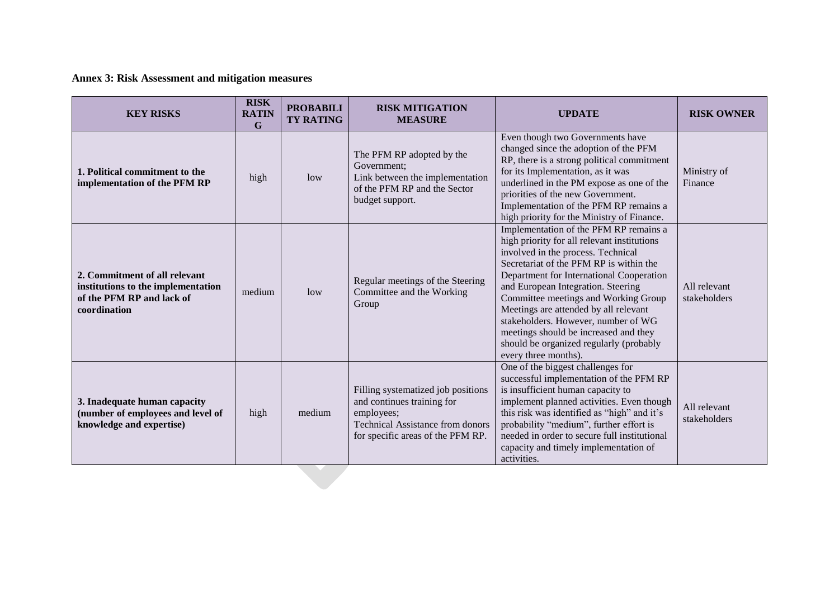**Annex 3: Risk Assessment and mitigation measures**

| <b>KEY RISKS</b>                                                                                                 | <b>RISK</b><br><b>RATIN</b><br>$\mathbf G$ | <b>PROBABILI</b><br><b>TY RATING</b> | <b>RISK MITIGATION</b><br><b>MEASURE</b>                                                                                                                       | <b>UPDATE</b>                                                                                                                                                                                                                                                                                                                                                                                                                                                                                | <b>RISK OWNER</b>            |
|------------------------------------------------------------------------------------------------------------------|--------------------------------------------|--------------------------------------|----------------------------------------------------------------------------------------------------------------------------------------------------------------|----------------------------------------------------------------------------------------------------------------------------------------------------------------------------------------------------------------------------------------------------------------------------------------------------------------------------------------------------------------------------------------------------------------------------------------------------------------------------------------------|------------------------------|
| 1. Political commitment to the<br>implementation of the PFM RP                                                   | high                                       | low                                  | The PFM RP adopted by the<br>Government;<br>Link between the implementation<br>of the PFM RP and the Sector<br>budget support.                                 | Even though two Governments have<br>changed since the adoption of the PFM<br>RP, there is a strong political commitment<br>for its Implementation, as it was<br>underlined in the PM expose as one of the<br>priorities of the new Government.<br>Implementation of the PFM RP remains a<br>high priority for the Ministry of Finance.                                                                                                                                                       | Ministry of<br>Finance       |
| 2. Commitment of all relevant<br>institutions to the implementation<br>of the PFM RP and lack of<br>coordination | medium                                     | low                                  | Regular meetings of the Steering<br>Committee and the Working<br>Group                                                                                         | Implementation of the PFM RP remains a<br>high priority for all relevant institutions<br>involved in the process. Technical<br>Secretariat of the PFM RP is within the<br>Department for International Cooperation<br>and European Integration. Steering<br>Committee meetings and Working Group<br>Meetings are attended by all relevant<br>stakeholders. However, number of WG<br>meetings should be increased and they<br>should be organized regularly (probably<br>every three months). | All relevant<br>stakeholders |
| 3. Inadequate human capacity<br>(number of employees and level of<br>knowledge and expertise)                    | high                                       | medium                               | Filling systematized job positions<br>and continues training for<br>employees;<br><b>Technical Assistance from donors</b><br>for specific areas of the PFM RP. | One of the biggest challenges for<br>successful implementation of the PFM RP<br>is insufficient human capacity to<br>implement planned activities. Even though<br>this risk was identified as "high" and it's<br>probability "medium", further effort is<br>needed in order to secure full institutional<br>capacity and timely implementation of<br>activities.                                                                                                                             | All relevant<br>stakeholders |
|                                                                                                                  |                                            |                                      |                                                                                                                                                                |                                                                                                                                                                                                                                                                                                                                                                                                                                                                                              |                              |